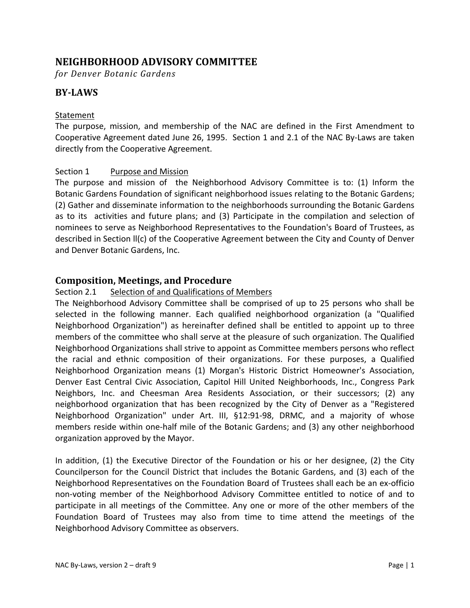# **NEIGHBORHOOD ADVISORY COMMITTEE**

*for Denver Botanic Gardens*

# **BY‐LAWS**

#### Statement

The purpose, mission, and membership of the NAC are defined in the First Amendment to Cooperative Agreement dated June 26, 1995. Section 1 and 2.1 of the NAC By‐Laws are taken directly from the Cooperative Agreement.

### Section 1 Purpose and Mission

The purpose and mission of the Neighborhood Advisory Committee is to: (1) Inform the Botanic Gardens Foundation of significant neighborhood issues relating to the Botanic Gardens; (2) Gather and disseminate information to the neighborhoods surrounding the Botanic Gardens as to its activities and future plans; and (3) Participate in the compilation and selection of nominees to serve as Neighborhood Representatives to the Foundation's Board of Trustees, as described in Section ll(c) of the Cooperative Agreement between the City and County of Denver and Denver Botanic Gardens, Inc.

## **Composition, Meetings, and Procedure**

### Section 2.1 Selection of and Qualifications of Members

The Neighborhood Advisory Committee shall be comprised of up to 25 persons who shall be selected in the following manner. Each qualified neighborhood organization (a "Qualified Neighborhood Organization") as hereinafter defined shall be entitled to appoint up to three members of the committee who shall serve at the pleasure of such organization. The Qualified Neighborhood Organizations shall strive to appoint as Committee members persons who reflect the racial and ethnic composition of their organizations. For these purposes, a Qualified Neighborhood Organization means (1) Morgan's Historic District Homeowner's Association, Denver East Central Civic Association, Capitol Hill United Neighborhoods, Inc., Congress Park Neighbors, Inc. and Cheesman Area Residents Association, or their successors; (2) any neighborhood organization that has been recognized by the City of Denver as a "Registered Neighborhood Organization" under Art. III, §12:91‐98, DRMC, and a majority of whose members reside within one-half mile of the Botanic Gardens; and (3) any other neighborhood organization approved by the Mayor.

In addition, (1) the Executive Director of the Foundation or his or her designee, (2) the City Councilperson for the Council District that includes the Botanic Gardens, and (3) each of the Neighborhood Representatives on the Foundation Board of Trustees shall each be an ex‐officio non‐voting member of the Neighborhood Advisory Committee entitled to notice of and to participate in all meetings of the Committee. Any one or more of the other members of the Foundation Board of Trustees may also from time to time attend the meetings of the Neighborhood Advisory Committee as observers.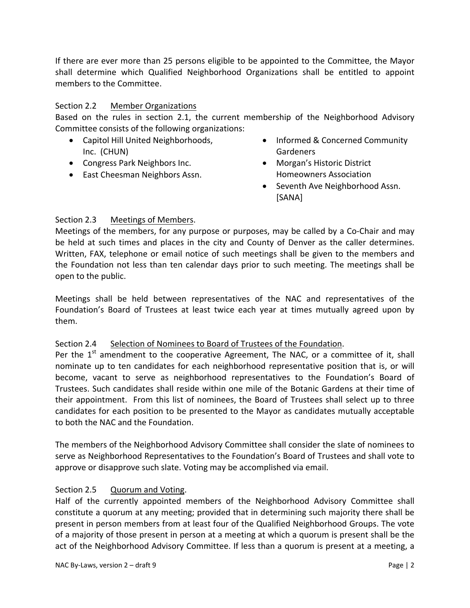If there are ever more than 25 persons eligible to be appointed to the Committee, the Mayor shall determine which Qualified Neighborhood Organizations shall be entitled to appoint members to the Committee.

## Section 2.2 Member Organizations

Based on the rules in section 2.1, the current membership of the Neighborhood Advisory Committee consists of the following organizations:

- Capitol Hill United Neighborhoods, Inc. (CHUN)
- Congress Park Neighbors Inc.
- East Cheesman Neighbors Assn.
- Informed & Concerned Community Gardeners
- Morgan's Historic District Homeowners Association
- Seventh Ave Neighborhood Assn. [SANA]

## Section 2.3 Meetings of Members.

Meetings of the members, for any purpose or purposes, may be called by a Co‐Chair and may be held at such times and places in the city and County of Denver as the caller determines. Written, FAX, telephone or email notice of such meetings shall be given to the members and the Foundation not less than ten calendar days prior to such meeting. The meetings shall be open to the public.

Meetings shall be held between representatives of the NAC and representatives of the Foundation's Board of Trustees at least twice each year at times mutually agreed upon by them.

### Section 2.4 Selection of Nominees to Board of Trustees of the Foundation.

Per the  $1<sup>st</sup>$  amendment to the cooperative Agreement, The NAC, or a committee of it, shall nominate up to ten candidates for each neighborhood representative position that is, or will become, vacant to serve as neighborhood representatives to the Foundation's Board of Trustees. Such candidates shall reside within one mile of the Botanic Gardens at their time of their appointment. From this list of nominees, the Board of Trustees shall select up to three candidates for each position to be presented to the Mayor as candidates mutually acceptable to both the NAC and the Foundation.

The members of the Neighborhood Advisory Committee shall consider the slate of nominees to serve as Neighborhood Representatives to the Foundation's Board of Trustees and shall vote to approve or disapprove such slate. Voting may be accomplished via email.

### Section 2.5 Quorum and Voting.

Half of the currently appointed members of the Neighborhood Advisory Committee shall constitute a quorum at any meeting; provided that in determining such majority there shall be present in person members from at least four of the Qualified Neighborhood Groups. The vote of a majority of those present in person at a meeting at which a quorum is present shall be the act of the Neighborhood Advisory Committee. If less than a quorum is present at a meeting, a